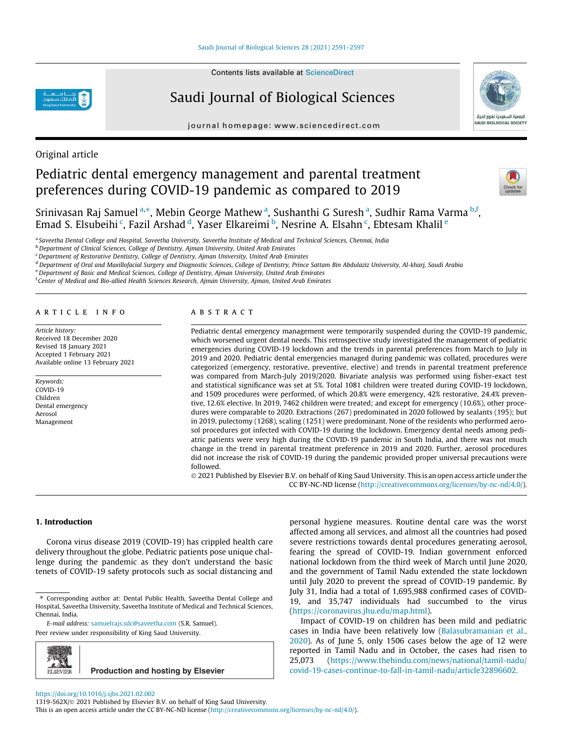Contents lists available at ScienceDirect

# Saudi Journal of Biological Sciences

journal homepage: www.sciencedirect.com



# Original article

# Pediatric dental emergency management and parental treatment preferences during COVID-19 pandemic as compared to 2019



Srinivasan Raj Samuel<sup>a,</sup>\*, Mebin George Mathew<sup>a</sup>, Sushanthi G Suresh<sup>a</sup>, Sudhir Rama Varma <sup>b,f</sup>, Emad S. Elsubeihi <sup>c</sup>, Fazil Arshad <sup>d</sup>, Yaser Elkareimi <sup>b</sup>, Nesrine A. Elsahn <sup>c</sup>, Ebtesam Khalil <sup>e</sup>

a *Saveetha Dental College and Hospital, Saveetha University, Saveetha Institute of Medical and Technical Sciences, Chennai, India*

<sup>b</sup>*Department of Clinical Sciences, College of Dentistry, Ajman University, United Arab Emirates*

<sup>c</sup>*Department of Restorative Dentistry, College of Dentistry, Ajman University, United Arab Emirates*

<sup>d</sup>*Department of Oral and Maxillofacial Surgery and Diagnostic Sciences, College of Dentistry, Prince Sattam Bin Abdulaziz University, Al-kharj, Saudi Arabia*

<sup>e</sup>*Department of Basic and Medical Sciences, College of Dentistry, Ajman University, United Arab Emirates*

f *Center of Medical and Bio-allied Health Sciences Research, Ajman University, Ajman, United Arab Emirates*

#### article info

*Article history:* Received 18 December 2020 Revised 18 January 2021 Accepted 1 February 2021 Available online 13 February 2021

*Keywords:* COVID-19 Children Dental emergency Aerosol Management

# **ABSTRACT**

Pediatric dental emergency management were temporarily suspended during the COVID-19 pandemic, which worsened urgent dental needs. This retrospective study investigated the management of pediatric emergencies during COVID-19 lockdown and the trends in parental preferences from March to July in 2019 and 2020. Pediatric dental emergencies managed during pandemic was collated, procedures were categorized (emergency, restorative, preventive, elective) and trends in parental treatment preference was compared from March-July 2019/2020. Bivariate analysis was performed using fisher-exact test and statistical significance was set at 5%. Total 1081 children were treated during COVID-19 lockdown, and 1509 procedures were performed, of which 20.8% were emergency, 42% restorative, 24.4% preventive, 12.6% elective. In 2019, 7462 children were treated; and except for emergency (10.6%), other procedures were comparable to 2020. Extractions (267) predominated in 2020 followed by sealants (195); but in 2019, pulectomy (1268), scaling (1251) were predominant. None of the residents who performed aerosol procedures got infected with COVID-19 during the lockdown. Emergency dental needs among pediatric patients were very high during the COVID-19 pandemic in South India, and there was not much change in the trend in parental treatment preference in 2019 and 2020. Further, aerosol procedures did not increase the risk of COVID-19 during the pandemic provided proper universal precautions were followed.

 2021 Published by Elsevier B.V. on behalf of King Saud University. This is an open access article under the CC BY-NC-ND license (http://creativecommons.org/licenses/by-nc-nd/4.0/).

### 1. Introduction

Corona virus disease 2019 (COVID-19) has crippled health care delivery throughout the globe. Pediatric patients pose unique challenge during the pandemic as they don't understand the basic tenets of COVID-19 safety protocols such as social distancing and

personal hygiene measures. Routine dental care was the worst affected among all services, and almost all the countries had posed severe restrictions towards dental procedures generating aerosol, fearing the spread of COVID-19. Indian government enforced national lockdown from the third week of March until June 2020, and the government of Tamil Nadu extended the state lockdown until July 2020 to prevent the spread of COVID-19 pandemic. By July 31, India had a total of 1,695,988 confirmed cases of COVID-19, and 35,747 individuals had succumbed to the virus (https://coronavirus.jhu.edu/map.html).

Impact of COVID-19 on children has been mild and pediatric cases in India have been relatively low (Balasubramanian et al., 2020). As of June 5, only 1506 cases below the age of 12 were reported in Tamil Nadu and in October, the cases had risen to 25,073 (https://www.thehindu.com/news/national/tamil-nadu/ covid-19-cases-continue-to-fall-in-tamil-nadu/article32896602.

1319-562X/ 2021 Published by Elsevier B.V. on behalf of King Saud University.

**Production and hosting by Elsevier**

This is an open access article under the CC BY-NC-ND license (http://creativecommons.org/licenses/by-nc-nd/4.0/).

<sup>⇑</sup> Corresponding author at: Dental Public Health, Saveetha Dental College and Hospital, Saveetha University, Saveetha Institute of Medical and Technical Sciences, Chennai, India.

*E-mail address:* samuelrajs.sdc@saveetha.com (S.R. Samuel).

Peer review under responsibility of King Saud University.

**FLSEVIER** 

https://doi.org/10.1016/j.sjbs.2021.02.002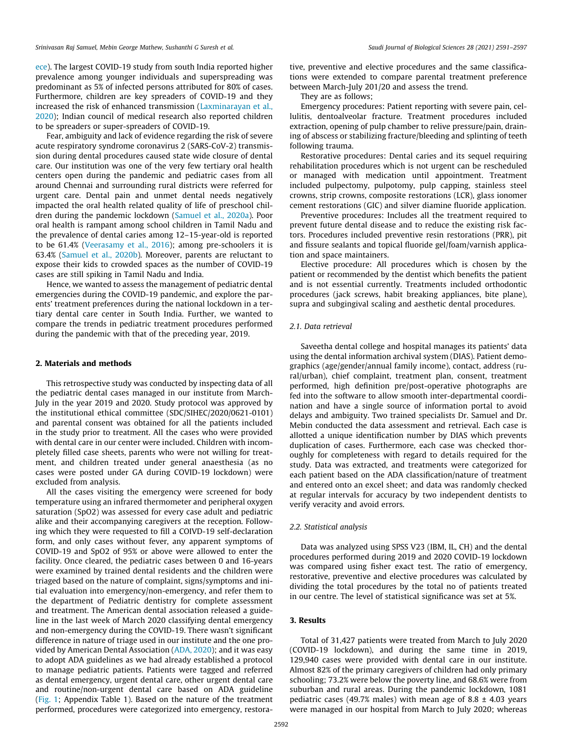ece). The largest COVID-19 study from south India reported higher prevalence among younger individuals and superspreading was predominant as 5% of infected persons attributed for 80% of cases. Furthermore, children are key spreaders of COVID-19 and they increased the risk of enhanced transmission (Laxminarayan et al., 2020); Indian council of medical research also reported children to be spreaders or super-spreaders of COVID-19.

Fear, ambiguity and lack of evidence regarding the risk of severe acute respiratory syndrome coronavirus 2 (SARS-CoV-2) transmission during dental procedures caused state wide closure of dental care. Our institution was one of the very few tertiary oral health centers open during the pandemic and pediatric cases from all around Chennai and surrounding rural districts were referred for urgent care. Dental pain and unmet dental needs negatively impacted the oral health related quality of life of preschool children during the pandemic lockdown (Samuel et al., 2020a). Poor oral health is rampant among school children in Tamil Nadu and the prevalence of dental caries among 12–15-year-old is reported to be 61.4% (Veerasamy et al., 2016); among pre-schoolers it is 63.4% (Samuel et al., 2020b). Moreover, parents are reluctant to expose their kids to crowded spaces as the number of COVID-19 cases are still spiking in Tamil Nadu and India.

Hence, we wanted to assess the management of pediatric dental emergencies during the COVID-19 pandemic, and explore the parents' treatment preferences during the national lockdown in a tertiary dental care center in South India. Further, we wanted to compare the trends in pediatric treatment procedures performed during the pandemic with that of the preceding year, 2019.

#### 2. Materials and methods

This retrospective study was conducted by inspecting data of all the pediatric dental cases managed in our institute from March-July in the year 2019 and 2020. Study protocol was approved by the institutional ethical committee (SDC/SIHEC/2020/0621-0101) and parental consent was obtained for all the patients included in the study prior to treatment. All the cases who were provided with dental care in our center were included. Children with incompletely filled case sheets, parents who were not willing for treatment, and children treated under general anaesthesia (as no cases were posted under GA during COVID-19 lockdown) were excluded from analysis.

All the cases visiting the emergency were screened for body temperature using an infrared thermometer and peripheral oxygen saturation (SpO2) was assessed for every case adult and pediatric alike and their accompanying caregivers at the reception. Following which they were requested to fill a COIVD-19 self-declaration form, and only cases without fever, any apparent symptoms of COVID-19 and SpO2 of 95% or above were allowed to enter the facility. Once cleared, the pediatric cases between 0 and 16-years were examined by trained dental residents and the children were triaged based on the nature of complaint, signs/symptoms and initial evaluation into emergency/non-emergency, and refer them to the department of Pediatric dentistry for complete assessment and treatment. The American dental association released a guideline in the last week of March 2020 classifying dental emergency and non-emergency during the COVID-19. There wasn't significant difference in nature of triage used in our institute and the one provided by American Dental Association (ADA, 2020); and it was easy to adopt ADA guidelines as we had already established a protocol to manage pediatric patients. Patients were tagged and referred as dental emergency, urgent dental care, other urgent dental care and routine/non-urgent dental care based on ADA guideline (Fig. 1; Appendix Table 1). Based on the nature of the treatment performed, procedures were categorized into emergency, restora-

tive, preventive and elective procedures and the same classifications were extended to compare parental treatment preference between March-July 201/20 and assess the trend.

They are as follows;

Emergency procedures: Patient reporting with severe pain, cellulitis, dentoalveolar fracture. Treatment procedures included extraction, opening of pulp chamber to relive pressure/pain, draining of abscess or stabilizing fracture/bleeding and splinting of teeth following trauma.

Restorative procedures: Dental caries and its sequel requiring rehabilitation procedures which is not urgent can be rescheduled or managed with medication until appointment. Treatment included pulpectomy, pulpotomy, pulp capping, stainless steel crowns, strip crowns, composite restorations (LCR), glass ionomer cement restorations (GIC) and silver diamine fluoride application.

Preventive procedures: Includes all the treatment required to prevent future dental disease and to reduce the existing risk factors. Procedures included preventive resin restorations (PRR), pit and fissure sealants and topical fluoride gel/foam/varnish application and space maintainers.

Elective procedure: All procedures which is chosen by the patient or recommended by the dentist which benefits the patient and is not essential currently. Treatments included orthodontic procedures (jack screws, habit breaking appliances, bite plane), supra and subgingival scaling and aesthetic dental procedures.

#### *2.1. Data retrieval*

Saveetha dental college and hospital manages its patients' data using the dental information archival system (DIAS). Patient demographics (age/gender/annual family income), contact, address (rural/urban), chief complaint, treatment plan, consent, treatment performed, high definition pre/post-operative photographs are fed into the software to allow smooth inter-departmental coordination and have a single source of information portal to avoid delays and ambiguity. Two trained specialists Dr. Samuel and Dr. Mebin conducted the data assessment and retrieval. Each case is allotted a unique identification number by DIAS which prevents duplication of cases. Furthermore, each case was checked thoroughly for completeness with regard to details required for the study. Data was extracted, and treatments were categorized for each patient based on the ADA classification/nature of treatment and entered onto an excel sheet; and data was randomly checked at regular intervals for accuracy by two independent dentists to verify veracity and avoid errors.

#### *2.2. Statistical analysis*

Data was analyzed using SPSS V23 (IBM, IL, CH) and the dental procedures performed during 2019 and 2020 COVID-19 lockdown was compared using fisher exact test. The ratio of emergency, restorative, preventive and elective procedures was calculated by dividing the total procedures by the total no of patients treated in our centre. The level of statistical significance was set at 5%.

### 3. Results

Total of 31,427 patients were treated from March to July 2020 (COVID-19 lockdown), and during the same time in 2019, 129,940 cases were provided with dental care in our institute. Almost 82% of the primary caregivers of children had only primary schooling; 73.2% were below the poverty line, and 68.6% were from suburban and rural areas. During the pandemic lockdown, 1081 pediatric cases (49.7% males) with mean age of 8.8  $\pm$  4.03 years were managed in our hospital from March to July 2020; whereas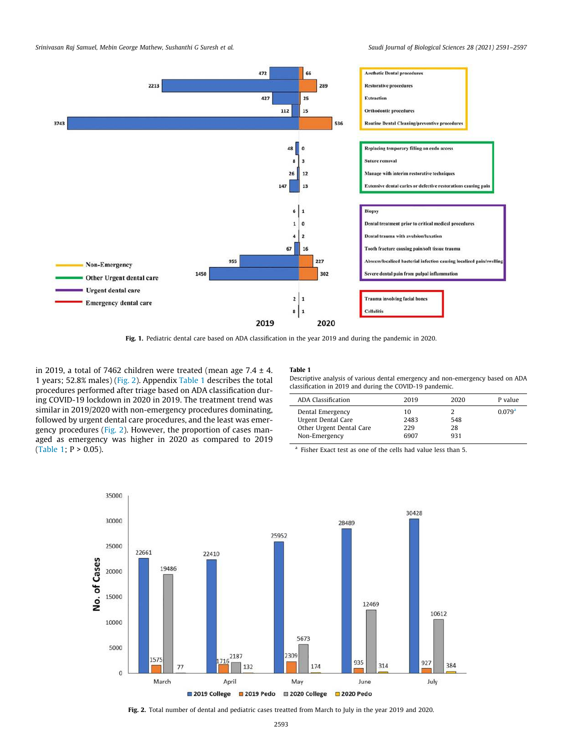

Fig. 1. Pediatric dental care based on ADA classification in the year 2019 and during the pandemic in 2020.

in 2019, a total of 7462 children were treated (mean age  $7.4 \pm 4$ . 1 years; 52.8% males) (Fig. 2). Appendix Table 1 describes the total procedures performed after triage based on ADA classification during COVID-19 lockdown in 2020 in 2019. The treatment trend was similar in 2019/2020 with non-emergency procedures dominating, followed by urgent dental care procedures, and the least was emergency procedures (Fig. 2). However, the proportion of cases managed as emergency was higher in 2020 as compared to 2019 (Table 1;  $P > 0.05$ ).

#### Table 1

Descriptive analysis of various dental emergency and non-emergency based on ADA classification in 2019 and during the COVID-19 pandemic.

| ADA Classification       | 2019 | 2020 | P value            |
|--------------------------|------|------|--------------------|
| Dental Emergency         | 10   |      | 0.079 <sup>a</sup> |
| Urgent Dental Care       | 2483 | 548  |                    |
| Other Urgent Dental Care | 229  | 28   |                    |
| Non-Emergency            | 6907 | 931  |                    |
|                          |      |      |                    |

<sup>a</sup> Fisher Exact test as one of the cells had value less than 5.



Fig. 2. Total number of dental and pediatric cases treatted from March to July in the year 2019 and 2020.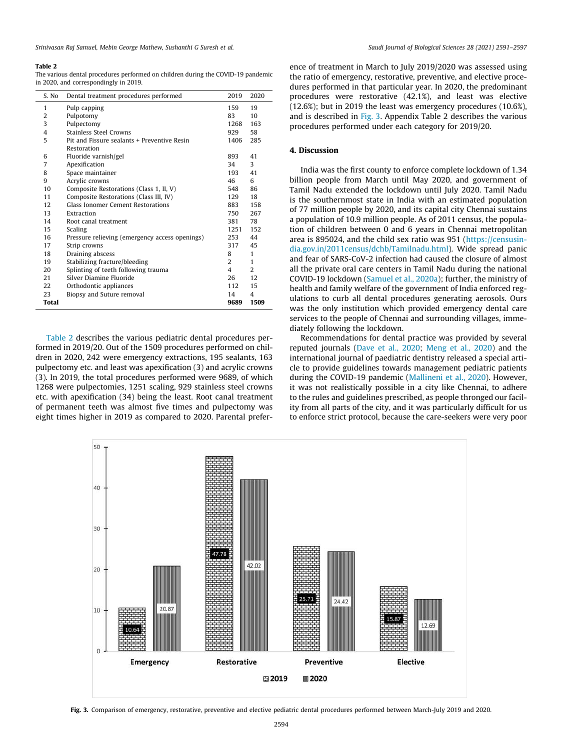#### Table 2

The various dental procedures performed on children during the COVID-19 pandemic in 2020, and correspondingly in 2019.

| S. No | Dental treatment procedures performed          | 2019           | 2020           |
|-------|------------------------------------------------|----------------|----------------|
| 1     | Pulp capping                                   | 159            | 19             |
| 2     | Pulpotomy                                      | 83             | 10             |
| 3     | Pulpectomy                                     | 1268           | 163            |
| 4     | Stainless Steel Crowns                         | 929            | 58             |
| 5     | Pit and Fissure sealants + Preventive Resin    |                | 285            |
|       | Restoration                                    |                |                |
| 6     | Fluoride varnish/gel                           | 893            | 41             |
| 7     | Apexification                                  | 34             | 3              |
| 8     | Space maintainer                               | 193            | 41             |
| 9     | Acrylic crowns                                 | 46             | 6              |
| 10    | Composite Restorations (Class 1, II, V)        | 548            | 86             |
| 11    | Composite Restorations (Class III, IV)         | 129            | 18             |
| 12    | Glass Jonomer Cement Restorations              | 883            | 158            |
| 13    | Extraction                                     | 750            | 267            |
| 14    | Root canal treatment                           | 381            | 78             |
| 15    | Scaling                                        | 1251           | 152            |
| 16    | Pressure relieving (emergency access openings) | 253            | 44             |
| 17    | Strip crowns                                   | 317            | 45             |
| 18    | Draining abscess                               | 8              | $\mathbf{1}$   |
| 19    | Stabilizing fracture/bleeding                  | $\overline{2}$ | 1              |
| 20    | Splinting of teeth following trauma            | 4              | $\overline{2}$ |
| 21    | Silver Diamine Fluoride                        | 26             | 12             |
| 22    | Orthodontic appliances                         | 112            | 15             |
| 23    | Biopsy and Suture removal                      | 14             | 4              |
| Total |                                                | 9689           | 1509           |

Table 2 describes the various pediatric dental procedures performed in 2019/20. Out of the 1509 procedures performed on children in 2020, 242 were emergency extractions, 195 sealants, 163 pulpectomy etc. and least was apexification (3) and acrylic crowns (3). In 2019, the total procedures performed were 9689, of which 1268 were pulpectomies, 1251 scaling, 929 stainless steel crowns etc. with apexification (34) being the least. Root canal treatment of permanent teeth was almost five times and pulpectomy was eight times higher in 2019 as compared to 2020. Parental preference of treatment in March to July 2019/2020 was assessed using the ratio of emergency, restorative, preventive, and elective procedures performed in that particular year. In 2020, the predominant procedures were restorative (42.1%), and least was elective (12.6%); but in 2019 the least was emergency procedures (10.6%), and is described in Fig. 3. Appendix Table 2 describes the various procedures performed under each category for 2019/20.

## 4. Discussion

India was the first county to enforce complete lockdown of 1.34 billion people from March until May 2020, and government of Tamil Nadu extended the lockdown until July 2020. Tamil Nadu is the southernmost state in India with an estimated population of 77 million people by 2020, and its capital city Chennai sustains a population of 10.9 million people. As of 2011 census, the population of children between 0 and 6 years in Chennai metropolitan area is 895024, and the child sex ratio was 951 (https://censusindia.gov.in/2011census/dchb/Tamilnadu.html). Wide spread panic and fear of SARS-CoV-2 infection had caused the closure of almost all the private oral care centers in Tamil Nadu during the national COVID-19 lockdown (Samuel et al., 2020a); further, the ministry of health and family welfare of the government of India enforced regulations to curb all dental procedures generating aerosols. Ours was the only institution which provided emergency dental care services to the people of Chennai and surrounding villages, immediately following the lockdown.

Recommendations for dental practice was provided by several reputed journals (Dave et al., 2020; Meng et al., 2020) and the international journal of paediatric dentistry released a special article to provide guidelines towards management pediatric patients during the COVID-19 pandemic (Mallineni et al., 2020). However, it was not realistically possible in a city like Chennai, to adhere to the rules and guidelines prescribed, as people thronged our facility from all parts of the city, and it was particularly difficult for us to enforce strict protocol, because the care-seekers were very poor



Fig. 3. Comparison of emergency, restorative, preventive and elective pediatric dental procedures performed between March-July 2019 and 2020.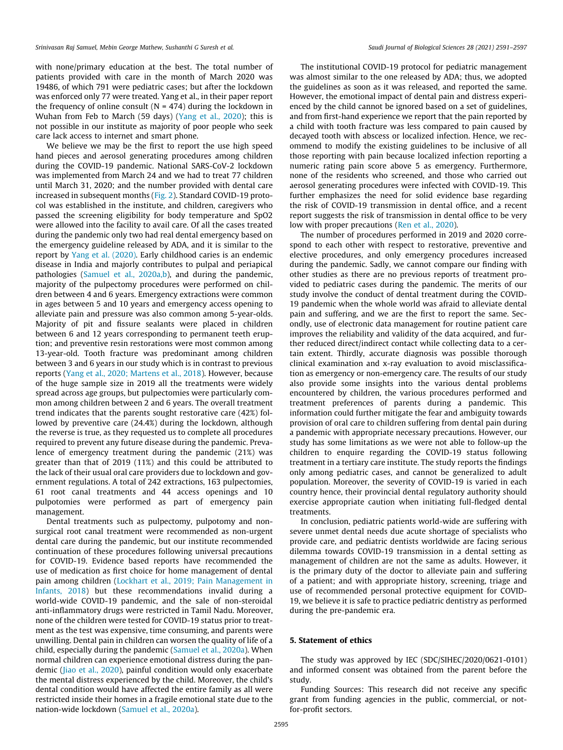with none/primary education at the best. The total number of patients provided with care in the month of March 2020 was 19486, of which 791 were pediatric cases; but after the lockdown was enforced only 77 were treated. Yang et al., in their paper report the frequency of online consult ( $N = 474$ ) during the lockdown in Wuhan from Feb to March (59 days) (Yang et al., 2020); this is not possible in our institute as majority of poor people who seek care lack access to internet and smart phone.

We believe we may be the first to report the use high speed hand pieces and aerosol generating procedures among children during the COVID-19 pandemic. National SARS-CoV-2 lockdown was implemented from March 24 and we had to treat 77 children until March 31, 2020; and the number provided with dental care increased in subsequent months (Fig. 2). Standard COVID-19 protocol was established in the institute, and children, caregivers who passed the screening eligibility for body temperature and SpO2 were allowed into the facility to avail care. Of all the cases treated during the pandemic only two had real dental emergency based on the emergency guideline released by ADA, and it is similar to the report by Yang et al. (2020). Early childhood caries is an endemic disease in India and majorly contributes to pulpal and periapical pathologies (Samuel et al., 2020a,b), and during the pandemic, majority of the pulpectomy procedures were performed on children between 4 and 6 years. Emergency extractions were common in ages between 5 and 10 years and emergency access opening to alleviate pain and pressure was also common among 5-year-olds. Majority of pit and fissure sealants were placed in children between 6 and 12 years corresponding to permanent teeth eruption; and preventive resin restorations were most common among 13-year-old. Tooth fracture was predominant among children between 3 and 6 years in our study which is in contrast to previous reports (Yang et al., 2020; Martens et al., 2018). However, because of the huge sample size in 2019 all the treatments were widely spread across age groups, but pulpectomies were particularly common among children between 2 and 6 years. The overall treatment trend indicates that the parents sought restorative care (42%) followed by preventive care (24.4%) during the lockdown, although the reverse is true, as they requested us to complete all procedures required to prevent any future disease during the pandemic. Prevalence of emergency treatment during the pandemic (21%) was greater than that of 2019 (11%) and this could be attributed to the lack of their usual oral care providers due to lockdown and government regulations. A total of 242 extractions, 163 pulpectomies, 61 root canal treatments and 44 access openings and 10 pulpotomies were performed as part of emergency pain management.

Dental treatments such as pulpectomy, pulpotomy and nonsurgical root canal treatment were recommended as non-urgent dental care during the pandemic, but our institute recommended continuation of these procedures following universal precautions for COVID-19. Evidence based reports have recommended the use of medication as first choice for home management of dental pain among children (Lockhart et al., 2019; Pain Management in Infants, 2018) but these recommendations invalid during a world-wide COVID-19 pandemic, and the sale of non-steroidal anti-inflammatory drugs were restricted in Tamil Nadu. Moreover, none of the children were tested for COVID-19 status prior to treatment as the test was expensive, time consuming, and parents were unwilling. Dental pain in children can worsen the quality of life of a child, especially during the pandemic (Samuel et al., 2020a). When normal children can experience emotional distress during the pandemic (Jiao et al., 2020), painful condition would only exacerbate the mental distress experienced by the child. Moreover, the child's dental condition would have affected the entire family as all were restricted inside their homes in a fragile emotional state due to the nation-wide lockdown (Samuel et al., 2020a).

The institutional COVID-19 protocol for pediatric management was almost similar to the one released by ADA; thus, we adopted the guidelines as soon as it was released, and reported the same. However, the emotional impact of dental pain and distress experienced by the child cannot be ignored based on a set of guidelines, and from first-hand experience we report that the pain reported by a child with tooth fracture was less compared to pain caused by decayed tooth with abscess or localized infection. Hence, we recommend to modify the existing guidelines to be inclusive of all those reporting with pain because localized infection reporting a numeric rating pain score above 5 as emergency. Furthermore, none of the residents who screened, and those who carried out aerosol generating procedures were infected with COVID-19. This further emphasizes the need for solid evidence base regarding the risk of COVID-19 transmission in dental office, and a recent report suggests the risk of transmission in dental office to be very low with proper precautions (Ren et al., 2020).

The number of procedures performed in 2019 and 2020 correspond to each other with respect to restorative, preventive and elective procedures, and only emergency procedures increased during the pandemic. Sadly, we cannot compare our finding with other studies as there are no previous reports of treatment provided to pediatric cases during the pandemic. The merits of our study involve the conduct of dental treatment during the COVID-19 pandemic when the whole world was afraid to alleviate dental pain and suffering, and we are the first to report the same. Secondly, use of electronic data management for routine patient care improves the reliability and validity of the data acquired, and further reduced direct/indirect contact while collecting data to a certain extent. Thirdly, accurate diagnosis was possible thorough clinical examination and x-ray evaluation to avoid misclassification as emergency or non-emergency care. The results of our study also provide some insights into the various dental problems encountered by children, the various procedures performed and treatment preferences of parents during a pandemic. This information could further mitigate the fear and ambiguity towards provision of oral care to children suffering from dental pain during a pandemic with appropriate necessary precautions. However, our study has some limitations as we were not able to follow-up the children to enquire regarding the COVID-19 status following treatment in a tertiary care institute. The study reports the findings only among pediatric cases, and cannot be generalized to adult population. Moreover, the severity of COVID-19 is varied in each country hence, their provincial dental regulatory authority should exercise appropriate caution when initiating full-fledged dental treatments.

In conclusion, pediatric patients world-wide are suffering with severe unmet dental needs due acute shortage of specialists who provide care, and pediatric dentists worldwide are facing serious dilemma towards COVID-19 transmission in a dental setting as management of children are not the same as adults. However, it is the primary duty of the doctor to alleviate pain and suffering of a patient; and with appropriate history, screening, triage and use of recommended personal protective equipment for COVID-19, we believe it is safe to practice pediatric dentistry as performed during the pre-pandemic era.

### 5. Statement of ethics

The study was approved by IEC (SDC/SIHEC/2020/0621-0101) and informed consent was obtained from the parent before the study.

Funding Sources: This research did not receive any specific grant from funding agencies in the public, commercial, or notfor-profit sectors.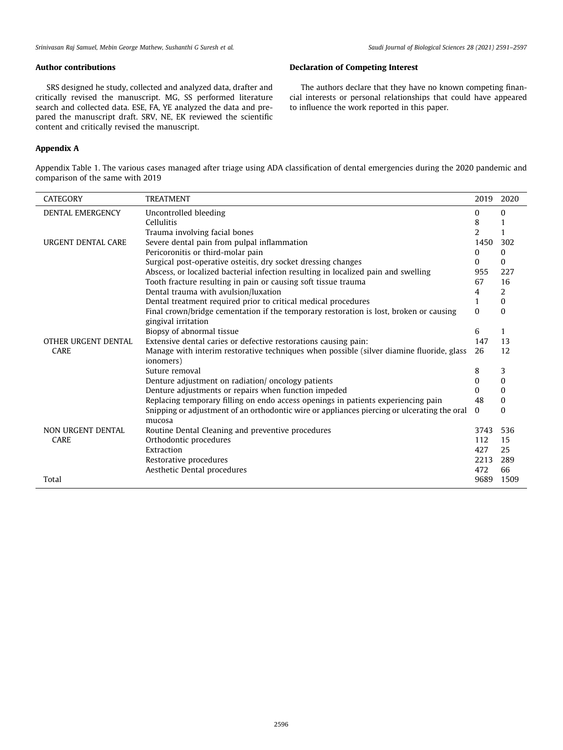## Author contributions

SRS designed he study, collected and analyzed data, drafter and critically revised the manuscript. MG, SS performed literature search and collected data. ESE, FA, YE analyzed the data and prepared the manuscript draft. SRV, NE, EK reviewed the scientific content and critically revised the manuscript.

# Appendix A

l,

l,

# Declaration of Competing Interest

The authors declare that they have no known competing financial interests or personal relationships that could have appeared to influence the work reported in this paper.

Appendix Table 1. The various cases managed after triage using ADA classification of dental emergencies during the 2020 pandemic and comparison of the same with 2019

| <b>CATEGORY</b>           | <b>TREATMENT</b>                                                                                      | 2019     | 2020     |
|---------------------------|-------------------------------------------------------------------------------------------------------|----------|----------|
| <b>DENTAL EMERGENCY</b>   | Uncontrolled bleeding                                                                                 | $\Omega$ | $\Omega$ |
|                           | <b>Cellulitis</b>                                                                                     | 8        |          |
|                           | Trauma involving facial bones                                                                         | 2        |          |
| <b>URGENT DENTAL CARE</b> | Severe dental pain from pulpal inflammation                                                           | 1450     | 302      |
|                           | Pericoronitis or third-molar pain                                                                     | $\Omega$ | $\Omega$ |
|                           | Surgical post-operative osteitis, dry socket dressing changes                                         | $\Omega$ | $\Omega$ |
|                           | Abscess, or localized bacterial infection resulting in localized pain and swelling                    | 955      | 227      |
|                           | Tooth fracture resulting in pain or causing soft tissue trauma                                        | 67       | 16       |
|                           | Dental trauma with avulsion/luxation                                                                  | 4        | 2        |
|                           | Dental treatment required prior to critical medical procedures                                        | 1        | $\Omega$ |
|                           | Final crown/bridge cementation if the temporary restoration is lost, broken or causing                | $\Omega$ | $\Omega$ |
|                           | gingival irritation                                                                                   |          |          |
|                           | Biopsy of abnormal tissue                                                                             | 6        | 1        |
| OTHER URGENT DENTAL       | Extensive dental caries or defective restorations causing pain:                                       | 147      | 13       |
| <b>CARE</b>               | Manage with interim restorative techniques when possible (silver diamine fluoride, glass<br>ionomers) | 26       | 12       |
|                           | Suture removal                                                                                        | 8        | 3        |
|                           | Denture adjustment on radiation/ oncology patients                                                    | $\Omega$ | 0        |
|                           | Denture adjustments or repairs when function impeded                                                  | $\Omega$ | $\Omega$ |
|                           | Replacing temporary filling on endo access openings in patients experiencing pain                     | 48       | $\Omega$ |
|                           | Snipping or adjustment of an orthodontic wire or appliances piercing or ulcerating the oral<br>mucosa | $\Omega$ | $\Omega$ |
| NON URGENT DENTAL         | Routine Dental Cleaning and preventive procedures                                                     | 3743     | 536      |
| <b>CARE</b>               | Orthodontic procedures                                                                                | 112      | 15       |
|                           | Extraction                                                                                            | 427      | 25       |
|                           | Restorative procedures                                                                                | 2213     | 289      |
|                           | Aesthetic Dental procedures                                                                           | 472      | 66       |
| Total                     |                                                                                                       | 9689     | 1509     |